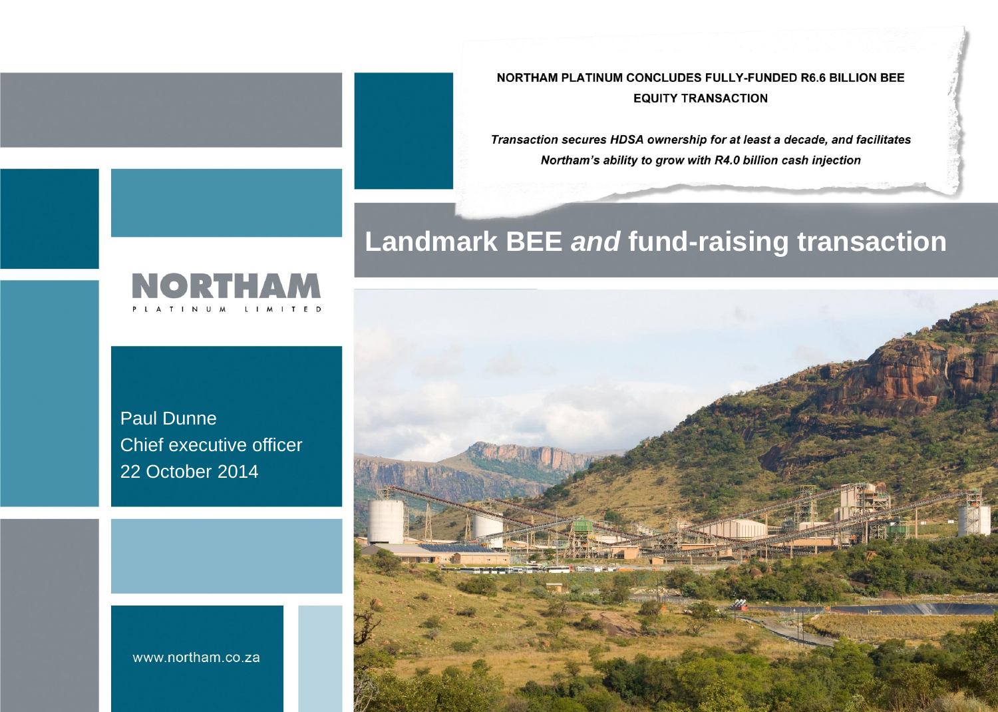NORTHAM PLATINUM CONCLUDES FULLY-FUNDED R6.6 BILLION BEE **EQUITY TRANSACTION** 

Transaction secures HDSA ownership for at least a decade, and facilitates Northam's ability to grow with R4.0 billion cash injection

#### **Landmark BEE** *and* **fund-raising transaction**



Paul Dunne Chief executive officer 22 October 2014



www.northam.co.za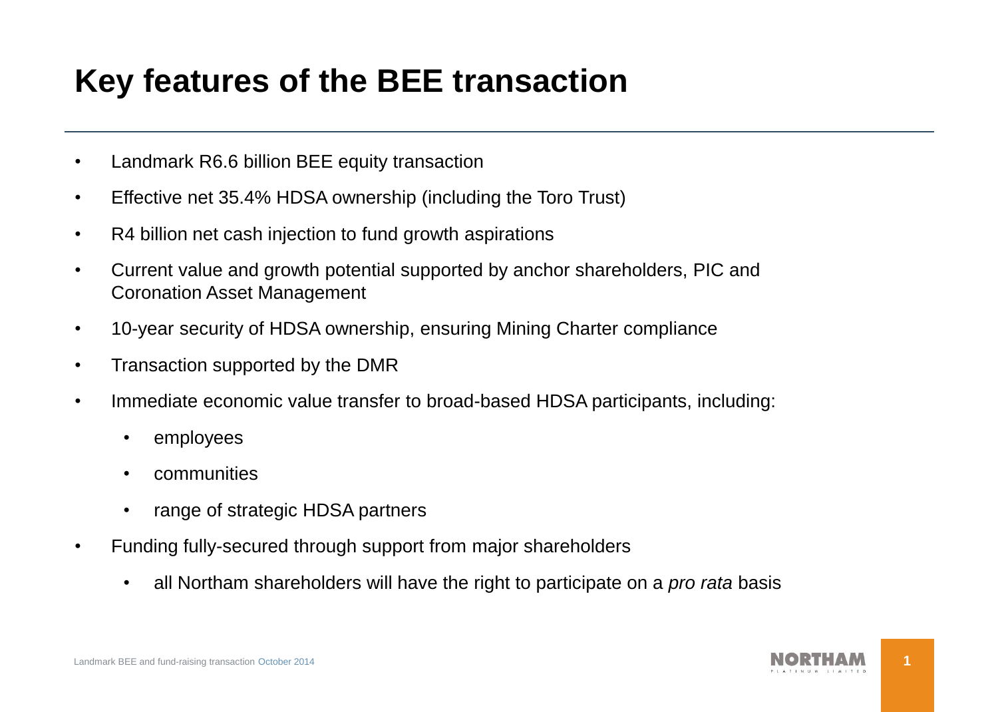### **Key features of the BEE transaction**

- Landmark R6.6 billion BEE equity transaction
- Effective net 35.4% HDSA ownership (including the Toro Trust)
- R4 billion net cash injection to fund growth aspirations
- Current value and growth potential supported by anchor shareholders, PIC and Coronation Asset Management
- 10-year security of HDSA ownership, ensuring Mining Charter compliance
- Transaction supported by the DMR
- Immediate economic value transfer to broad-based HDSA participants, including:
	- employees
	- communities
	- range of strategic HDSA partners
- Funding fully-secured through support from major shareholders
	- all Northam shareholders will have the right to participate on a *pro rata* basis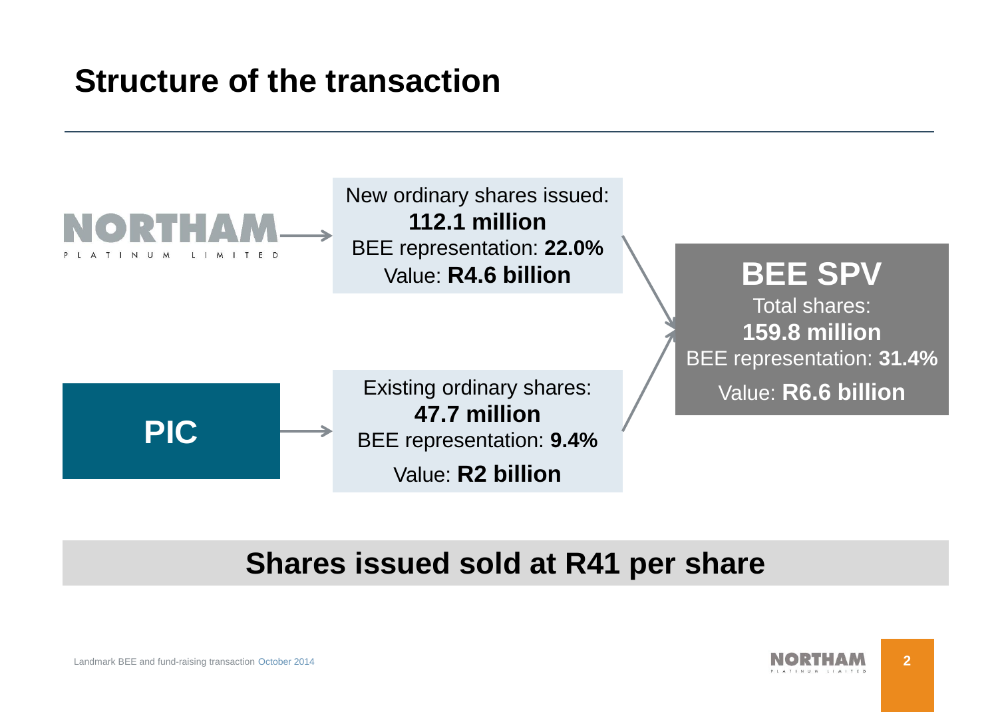### **Structure of the transaction**



#### **Shares issued sold at R41 per share**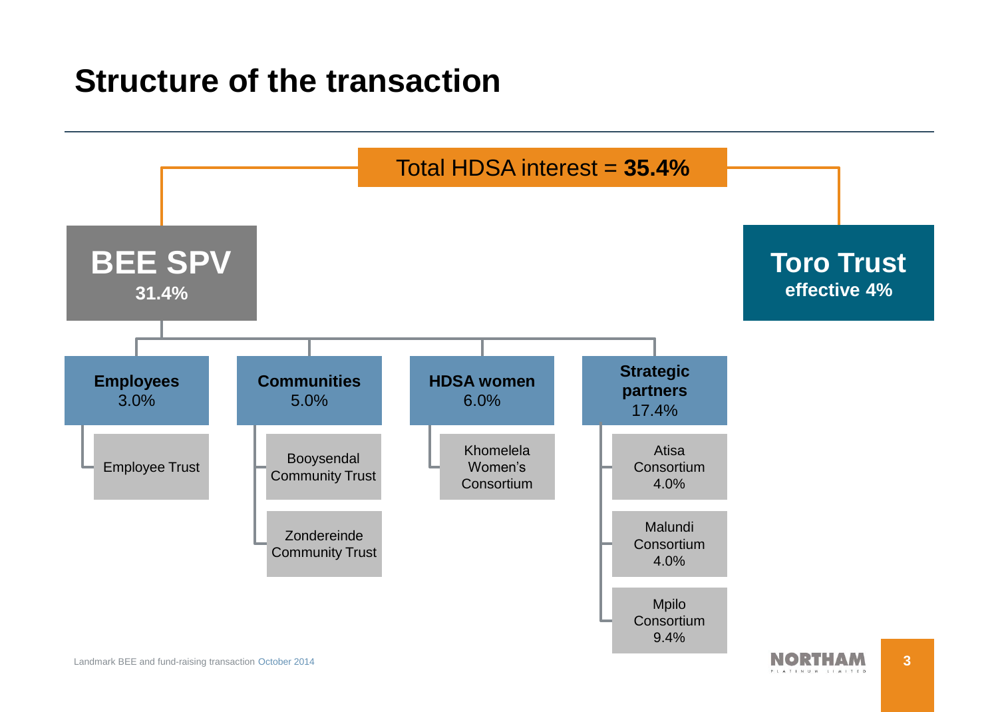#### **Structure of the transaction**

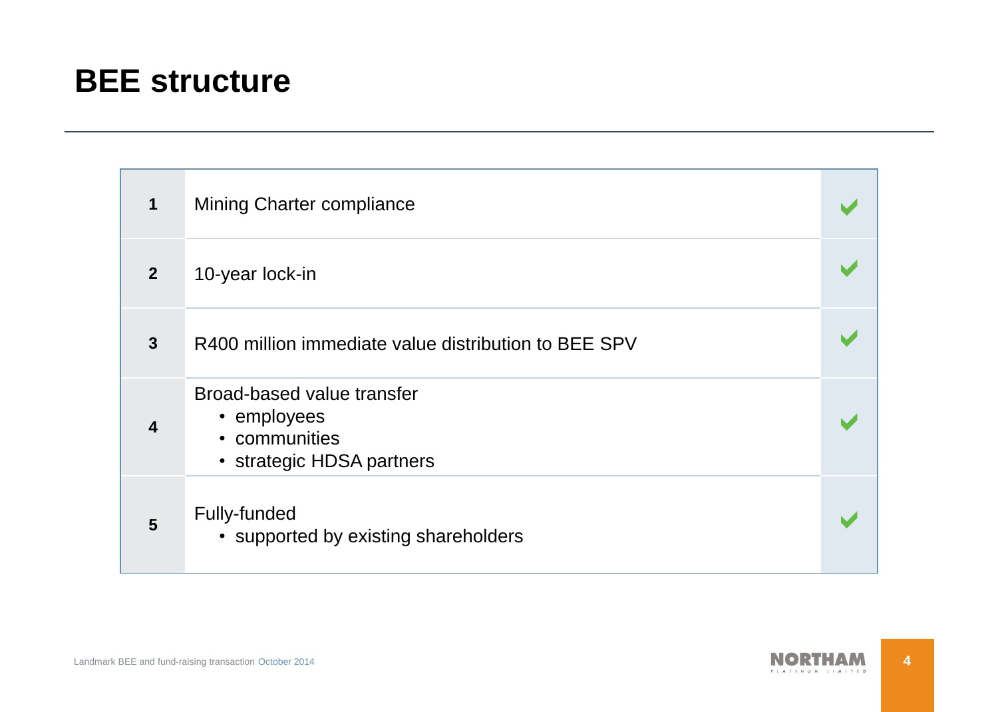#### **BEE structure**

| $\mathbf 1$             | Mining Charter compliance                                                               |  |
|-------------------------|-----------------------------------------------------------------------------------------|--|
| 2 <sup>2</sup>          | 10-year lock-in                                                                         |  |
| $\mathbf{3}$            | R400 million immediate value distribution to BEE SPV                                    |  |
| $\overline{\mathbf{4}}$ | Broad-based value transfer<br>• employees<br>• communities<br>• strategic HDSA partners |  |
| 5                       | Fully-funded<br>• supported by existing shareholders                                    |  |

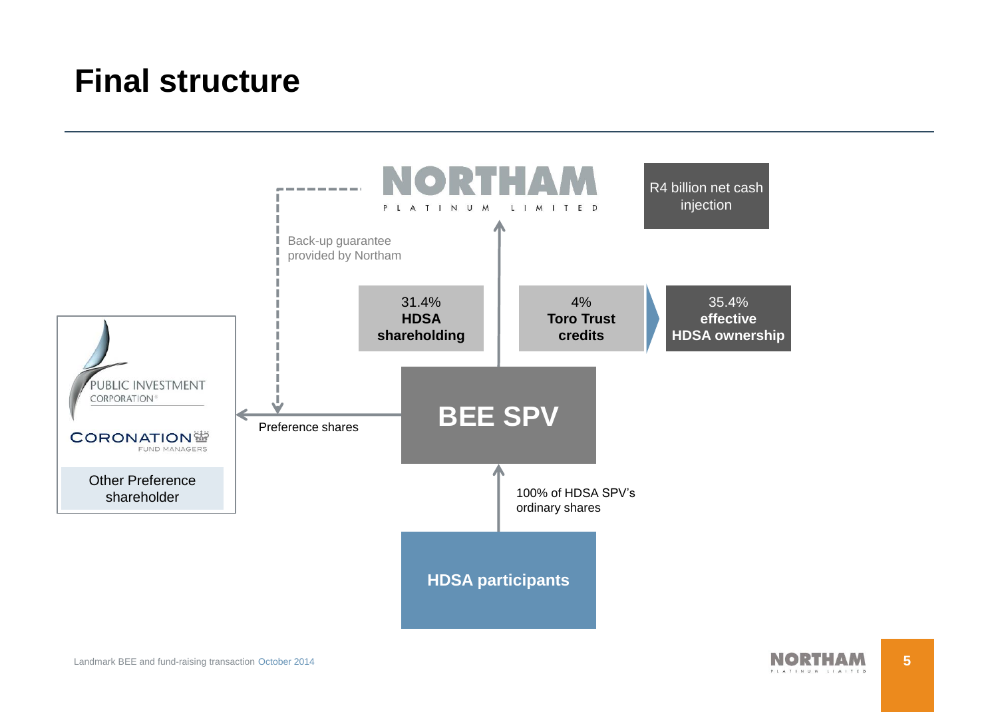#### **Final structure**



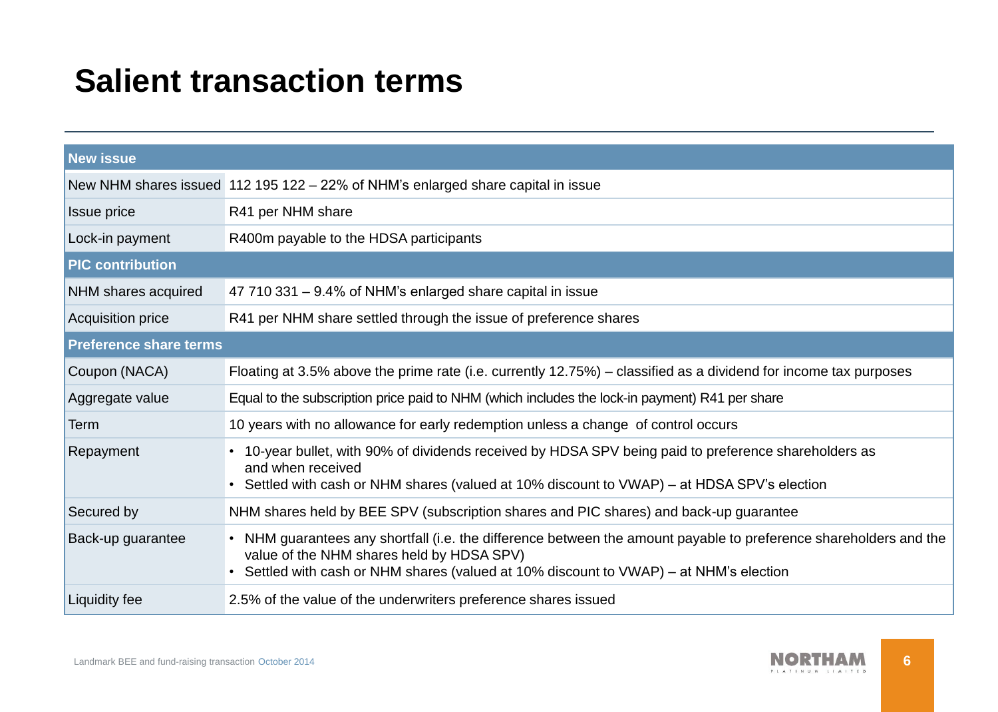#### **Salient transaction terms**

| <b>New issue</b>              |                                                                                                                                                                                                                                                        |  |  |  |
|-------------------------------|--------------------------------------------------------------------------------------------------------------------------------------------------------------------------------------------------------------------------------------------------------|--|--|--|
|                               | New NHM shares issued 112 195 122 - 22% of NHM's enlarged share capital in issue                                                                                                                                                                       |  |  |  |
| Issue price                   | R41 per NHM share                                                                                                                                                                                                                                      |  |  |  |
| Lock-in payment               | R400m payable to the HDSA participants                                                                                                                                                                                                                 |  |  |  |
| <b>PIC contribution</b>       |                                                                                                                                                                                                                                                        |  |  |  |
| NHM shares acquired           | 47 710 331 - 9.4% of NHM's enlarged share capital in issue                                                                                                                                                                                             |  |  |  |
| <b>Acquisition price</b>      | R41 per NHM share settled through the issue of preference shares                                                                                                                                                                                       |  |  |  |
| <b>Preference share terms</b> |                                                                                                                                                                                                                                                        |  |  |  |
| Coupon (NACA)                 | Floating at 3.5% above the prime rate (i.e. currently 12.75%) – classified as a dividend for income tax purposes                                                                                                                                       |  |  |  |
| Aggregate value               | Equal to the subscription price paid to NHM (which includes the lock-in payment) R41 per share                                                                                                                                                         |  |  |  |
| Term                          | 10 years with no allowance for early redemption unless a change of control occurs                                                                                                                                                                      |  |  |  |
| Repayment                     | 10-year bullet, with 90% of dividends received by HDSA SPV being paid to preference shareholders as<br>and when received<br>Settled with cash or NHM shares (valued at 10% discount to VWAP) – at HDSA SPV's election                                  |  |  |  |
| Secured by                    | NHM shares held by BEE SPV (subscription shares and PIC shares) and back-up guarantee                                                                                                                                                                  |  |  |  |
| Back-up guarantee             | • NHM guarantees any shortfall (i.e. the difference between the amount payable to preference shareholders and the<br>value of the NHM shares held by HDSA SPV)<br>Settled with cash or NHM shares (valued at 10% discount to VWAP) – at NHM's election |  |  |  |
| <b>Liquidity fee</b>          | 2.5% of the value of the underwriters preference shares issued                                                                                                                                                                                         |  |  |  |

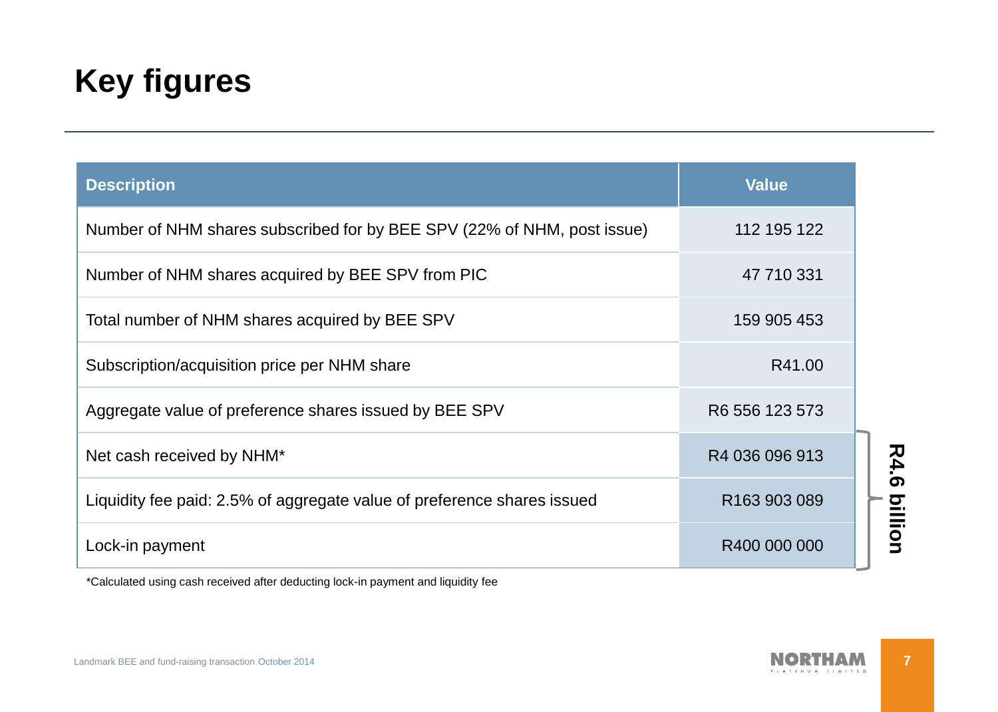# **Key figures**

| <b>Description</b>                                                      | <b>Value</b>             |
|-------------------------------------------------------------------------|--------------------------|
| Number of NHM shares subscribed for by BEE SPV (22% of NHM, post issue) | 112 195 122              |
| Number of NHM shares acquired by BEE SPV from PIC                       | 47 710 331               |
| Total number of NHM shares acquired by BEE SPV                          | 159 905 453              |
| Subscription/acquisition price per NHM share                            | R41.00                   |
| Aggregate value of preference shares issued by BEE SPV                  | R6 556 123 573           |
| Net cash received by NHM*                                               | R4 036 096 913           |
| Liquidity fee paid: 2.5% of aggregate value of preference shares issued | R <sub>163</sub> 903 089 |
| Lock-in payment                                                         | R400 000 000             |

\*Calculated using cash received after deducting lock-in payment and liquidity fee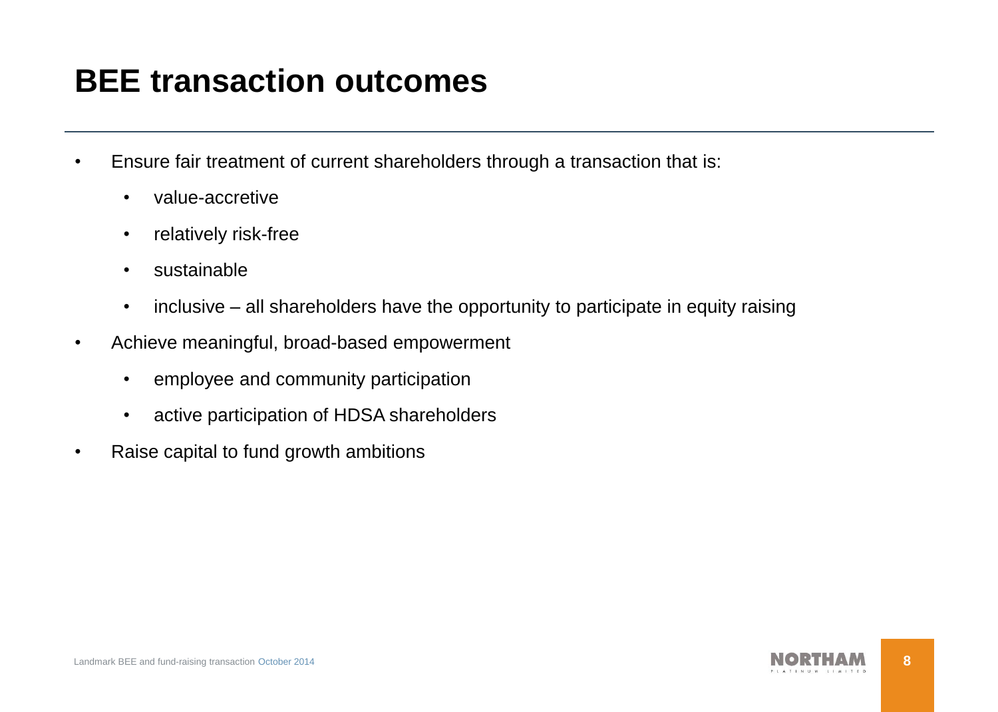## **BEE transaction outcomes**

- Ensure fair treatment of current shareholders through a transaction that is:
	- value-accretive
	- relatively risk-free
	- sustainable
	- inclusive all shareholders have the opportunity to participate in equity raising
- Achieve meaningful, broad-based empowerment
	- employee and community participation
	- active participation of HDSA shareholders
- Raise capital to fund growth ambitions

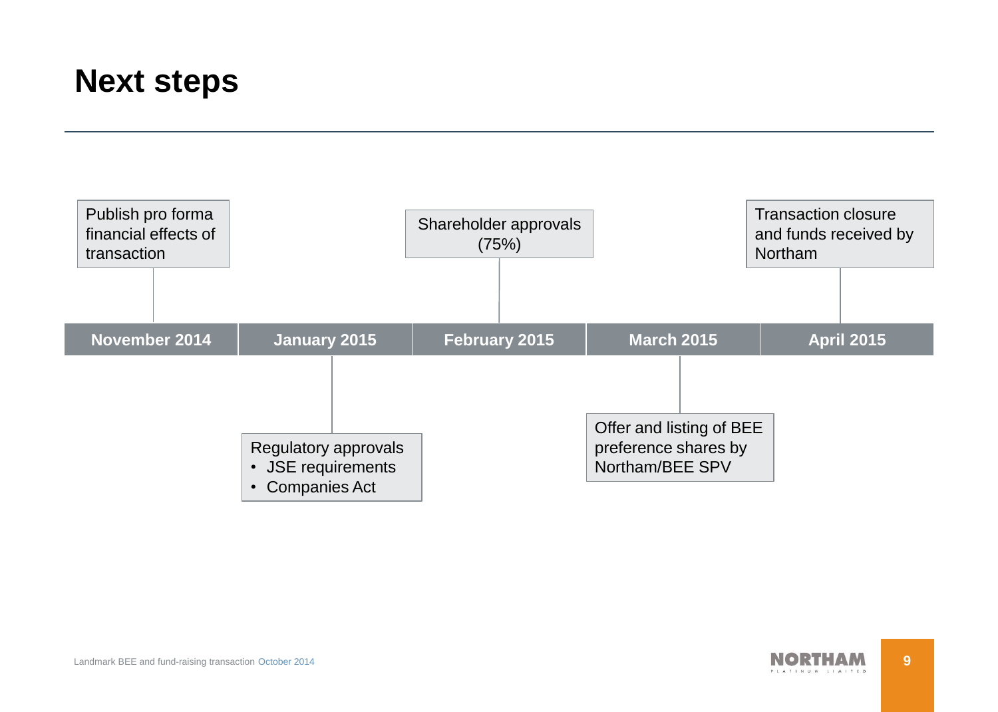#### **Next steps**